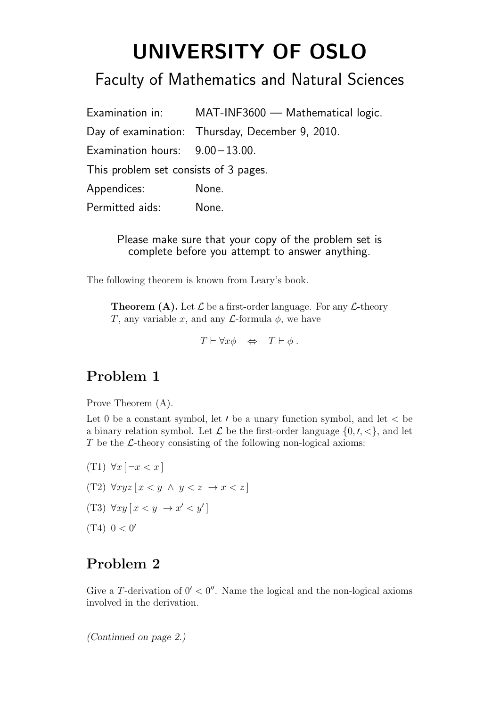# UNIVERSITY OF OSLO

# Faculty of Mathematics and Natural Sciences

|                                       | Examination in: MAT-INF3600 - Mathematical logic. |
|---------------------------------------|---------------------------------------------------|
|                                       | Day of examination: Thursday, December 9, 2010.   |
| Examination hours: $9.00 - 13.00$ .   |                                                   |
| This problem set consists of 3 pages. |                                                   |
| Appendices:                           | None.                                             |
| Permitted aids:                       | None.                                             |

Please make sure that your copy of the problem set is complete before you attempt to answer anything.

The following theorem is known from Leary's book.

**Theorem (A).** Let  $\mathcal L$  be a first-order language. For any  $\mathcal L$ -theory T, any variable x, and any  $\mathcal{L}$ -formula  $\phi$ , we have

 $T \vdash \forall x \phi \Leftrightarrow T \vdash \phi$ .

# Problem 1

Prove Theorem (A).

Let 0 be a constant symbol, let  $\prime$  be a unary function symbol, and let  $\lt$  be a binary relation symbol. Let  $\mathcal L$  be the first-order language  $\{0, \prime, \ll\}$ , and let  $T$  be the  $\mathcal{L}$ -theory consisting of the following non-logical axioms:

(T1)  $\forall x \, [\neg x < x]$ (T2)  $\forall xyz \, [x \leq y \land y \leq z \rightarrow x \leq z]$ (T3)  $\forall xy [x < y \rightarrow x' < y']$  $(T4)$  0 < 0'

# Problem 2

Give a T-derivation of  $0' < 0''$ . Name the logical and the non-logical axioms involved in the derivation.

(Continued on page 2.)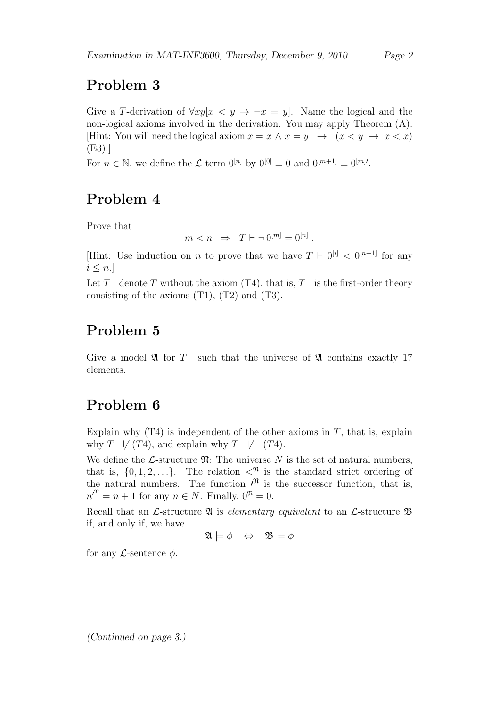# Problem 3

Give a T-derivation of  $\forall xy[x \leq y \rightarrow \neg x = y]$ . Name the logical and the non-logical axioms involved in the derivation. You may apply Theorem (A). [Hint: You will need the logical axiom  $x = x \wedge x = y \rightarrow (x < y \rightarrow x < x)$ ] (E3).]

For  $n \in \mathbb{N}$ , we define the L-term  $0^{[n]}$  by  $0^{[0]} \equiv 0$  and  $0^{[m+1]} \equiv 0^{[m]}$ .

# Problem 4

Prove that

 $m < n \Rightarrow T \vdash \neg 0^{[m]} = 0^{[n]}$ .

[Hint: Use induction on *n* to prove that we have  $T \vdash 0^{[i]} < 0^{[n+1]}$  for any  $i \leq n$ .

Let  $T^-$  denote T without the axiom (T4), that is,  $T^-$  is the first-order theory consisting of the axioms (T1), (T2) and (T3).

# Problem 5

Give a model  $\mathfrak A$  for  $T^-$  such that the universe of  $\mathfrak A$  contains exactly 17 elements.

# Problem 6

Explain why  $(T4)$  is independent of the other axioms in T, that is, explain why  $T^- \not\vdash (T4)$ , and explain why  $T^- \not\vdash \neg (T4)$ .

We define the *L*-structure  $\mathfrak{N}$ : The universe N is the set of natural numbers, that is,  $\{0, 1, 2, \ldots\}$ . The relation  $\langle \mathcal{N} \rangle$  is the standard strict ordering of the natural numbers. The function  $\ell^{\mathfrak{R}}$  is the successor function, that is,  $n^{\prime^{\mathfrak{R}}} = n + 1$  for any  $n \in N$ . Finally,  $0^{\mathfrak{R}} = 0$ .

Recall that an L-structure  $\mathfrak A$  is elementary equivalent to an L-structure  $\mathfrak B$ if, and only if, we have

$$
\mathfrak{A} \models \phi \Leftrightarrow \mathfrak{B} \models \phi
$$

for any  $\mathcal{L}$ -sentence  $\phi$ .

(Continued on page 3.)